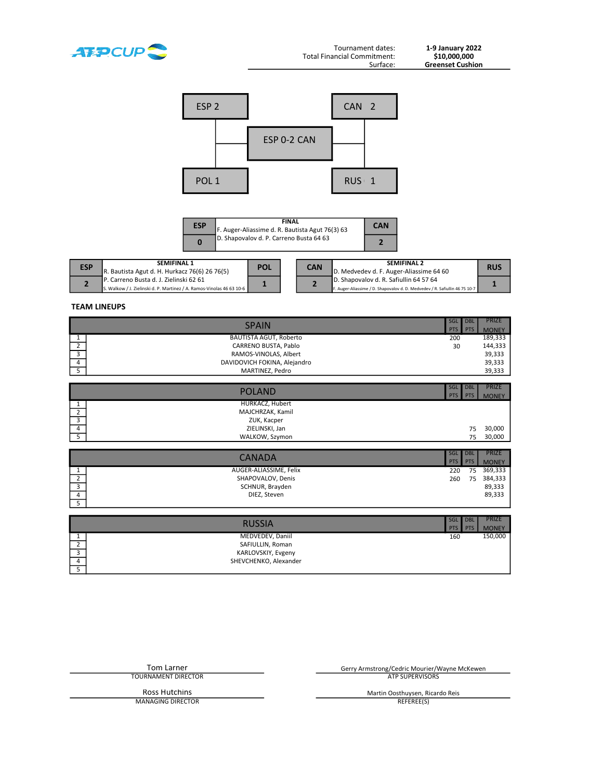

1-9 January 2022<br>\$10,000,000<br>Greenset Cushion



| <b>ESP</b> | <b>FINAL</b><br>F. Auger-Aliassime d. R. Bautista Agut 76(3) 63 | <b>CAN</b> |
|------------|-----------------------------------------------------------------|------------|
|            | D. Shapovalov d. P. Carreno Busta 64 63                         |            |

| <b>ESP</b> | <b>SEMIFINAL 1</b><br>R. Bautista Agut d. H. Hurkacz 76(6) 26 76(5)                                              | <b>POL</b> | <b>CAN</b> | <b>SEMIFINAL 2</b><br>D. Medvedev d. F. Auger-Aliassime 64 60                                                         | <b>RUS</b> |
|------------|------------------------------------------------------------------------------------------------------------------|------------|------------|-----------------------------------------------------------------------------------------------------------------------|------------|
|            | IP. Carreno Busta d. J. Zielinski 62 61<br>S. Walkow / J. Zielinski d. P. Martinez / A. Ramos-Vinolas 46 63 10-6 |            |            | D. Shapovalov d. R. Safiullin 64 57 64<br>F. Auger-Aliassime / D. Shapovalov d. D. Medvedev / R. Safiullin 46 75 10-7 |            |

#### TEAM LINEUPS

|   | <b>SPAIN</b>                 |     |  | <b>PRIZE</b> |  |
|---|------------------------------|-----|--|--------------|--|
|   |                              |     |  |              |  |
|   | BAUTISTA AGUT, Roberto       | 200 |  | 189,333      |  |
|   | CARRENO BUSTA, Pablo         | 30  |  | 144,333      |  |
|   | RAMOS-VINOLAS, Albert        |     |  | 39,333       |  |
| 4 | DAVIDOVICH FOKINA, Alejandro |     |  | 39,333       |  |
|   | MARTINEZ, Pedro              |     |  | 39,333       |  |
|   |                              |     |  |              |  |

|                         | <b>POLAND</b>    |            | <b>DBL</b> | <b>PRIZE</b> |
|-------------------------|------------------|------------|------------|--------------|
|                         |                  | <b>PTS</b> | <b>PTS</b> | <b>MONEY</b> |
|                         | HURKACZ, Hubert  |            |            |              |
|                         | MAJCHRZAK, Kamil |            |            |              |
| $\mathbf{\hat{z}}$<br>್ | ZUK, Kacper      |            |            |              |
| $\overline{4}$          | ZIELINSKI, Jan   |            | 75         | 30,000       |
|                         | WALKOW, Szymon   |            | 75         | 30,000       |
|                         |                  |            |            |              |

|   | CANADA                 |     | <b>DBL</b> | <b>PRIZE</b> |
|---|------------------------|-----|------------|--------------|
|   |                        |     |            |              |
|   | AUGER-ALIASSIME, Felix | 220 | 75         | 369,333      |
| ∸ | SHAPOVALOV, Denis      | 260 | 75         | 384,333      |
| ر | SCHNUR, Brayden        |     |            | 89,333       |
| 4 | DIEZ, Steven           |     |            | 89,333       |
|   |                        |     |            |              |

|   | <b>RUSSIA</b>         |     | <b>DBL</b> | <b>PRIZE</b> |
|---|-----------------------|-----|------------|--------------|
|   |                       |     | <b>PTS</b> | <b>MONEY</b> |
|   | MEDVEDEV, Daniil      | 160 |            | 150,000      |
|   | SAFIULLIN, Roman      |     |            |              |
|   | KARLOVSKIY, Evgeny    |     |            |              |
| 4 | SHEVCHENKO, Alexander |     |            |              |
|   |                       |     |            |              |

| Gerry Armstrong/Cedric Mourier/Wayne McKewen |
|----------------------------------------------|
| ATP SUPERVISORS                              |
| Martin Oosthuysen, Ricardo Reis              |
| REFEREE(S)                                   |
|                                              |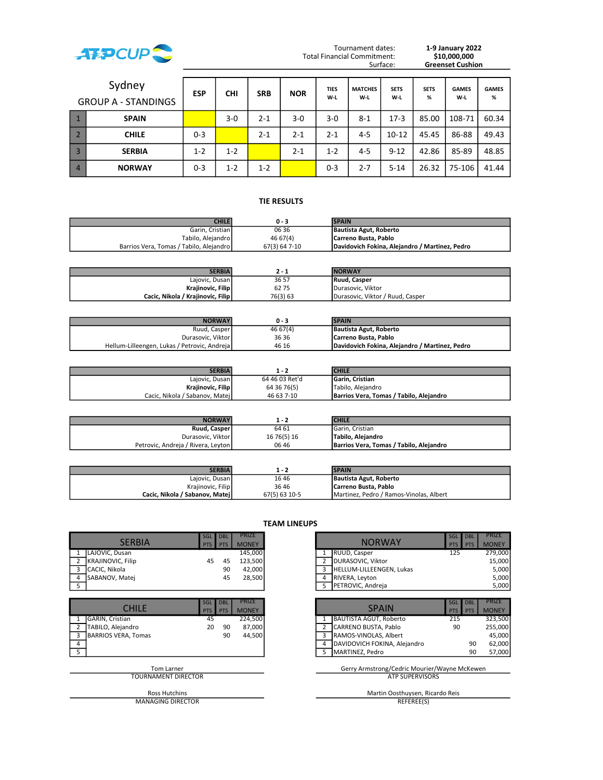

Total Financial Commitment:<br>Surface:

Tournament dates: 1-9 January 2022<br>
10,000,000<br>
\$10,000,000 Greenset Cushion

|                | Sydney<br><b>GROUP A - STANDINGS</b> | <b>ESP</b> | <b>CHI</b> | <b>SRB</b> | <b>NOR</b> | <b>TIES</b><br>W-L | <b>MATCHES</b><br>W-L | <b>SETS</b><br>W-L | <b>SETS</b><br>% | <b>GAMES</b><br>W-L | <b>GAMES</b><br>% |
|----------------|--------------------------------------|------------|------------|------------|------------|--------------------|-----------------------|--------------------|------------------|---------------------|-------------------|
|                | <b>SPAIN</b>                         |            | $3-0$      | $2 - 1$    | 3-0        | 3-0                | $8 - 1$               | $17-3$             | 85.00            | 108-71              | 60.34             |
|                | <b>CHILE</b>                         | $0 - 3$    |            | $2 - 1$    | $2 - 1$    | $2 - 1$            | $4 - 5$               | $10 - 12$          | 45.45            | 86-88               | 49.43             |
|                | <b>SERBIA</b>                        | $1 - 2$    | $1 - 2$    |            | $2 - 1$    | $1 - 2$            | $4 - 5$               | $9 - 12$           | 42.86            | 85-89               | 48.85             |
| $\overline{4}$ | <b>NORWAY</b>                        | $0 - 3$    | $1 - 2$    | $1 - 2$    |            | $0 - 3$            | $2 - 7$               | $5 - 14$           | 26.32            | 75-106              | 41.44             |

### **TIE RESULTS**

| <b>CHILE</b>                            | 0 - 3         | <b>SPAIN</b>                                   |
|-----------------------------------------|---------------|------------------------------------------------|
| Garin. Cristian I                       | 06 36         | Bautista Agut, Roberto                         |
| Tabilo, Alejandro                       | 46 67 (4)     | Carreno Busta, Pablo                           |
| Barrios Vera, Tomas / Tabilo, Alejandro | 67(3) 64 7-10 | Davidovich Fokina. Aleiandro / Martinez. Pedro |

| <b>SERBIA</b>                     |          | <b>NORWAY</b>                    |
|-----------------------------------|----------|----------------------------------|
| Lajovic, Dusan                    | 36 57    | Ruud, Casper                     |
| Krajinovic, Filip                 | 6275     | Durasovic, Viktor                |
| Cacic, Nikola / Krajinovic, Filip | 76(3) 63 | Durasovic. Viktor / Ruud. Casper |

| <b>NORWAY</b>                                | 0 - 3    | <b>SPAIN</b>                                   |
|----------------------------------------------|----------|------------------------------------------------|
| Ruud, Casper                                 | 46 67(4) | Bautista Agut, Roberto                         |
| Durasovic, Viktor                            | 36 36    | Carreno Busta, Pablo                           |
| Hellum-Lilleengen, Lukas / Petrovic, Andreja | 46 16    | Davidovich Fokina, Aleiandro / Martinez, Pedro |

| <b>SERBIA</b>                  |                | <b>CHILE</b>                            |
|--------------------------------|----------------|-----------------------------------------|
| Lajovic, Dusan                 | 64 46 03 Ret'd | <b>IGarin, Cristian</b>                 |
| Krajinovic, Filip              | 64 36 76(5)    | <b>Tabilo. Aleiandro</b>                |
| Cacic, Nikola / Sabanov, Matej | 46 63 7-10     | Barrios Vera, Tomas / Tabilo, Aleiandro |

| <b>NORWAY</b>                      |             | <b>CHILE</b>                            |
|------------------------------------|-------------|-----------------------------------------|
| Ruud, Casper                       | 64 61       | <b>I</b> Garin, Cristian                |
| Durasovic, Viktor                  | 16 76(5) 16 | ITabilo, Alejandro                      |
| Petrovic, Andreja / Rivera, Leyton | 06 46       | Barrios Vera, Tomas / Tabilo, Alejandro |

| <b>SERBIA</b>                   |               | <b>SPAIN</b>                                     |
|---------------------------------|---------------|--------------------------------------------------|
| Lajovic, Dusan                  | 1646          | Bautista Agut, Roberto                           |
| Krajinovic, Filip               | 3646          | Carreno Busta, Pablo                             |
| Cacic. Nikola / Sabanov. Mateil | 67(5) 63 10-5 | <b>I</b> Martinez. Pedro / Ramos-Vinolas. Albert |

|                                                                                           |                   |                          |                                        | <b>ILAM LINEUPS</b>                                                                                                                                                                               |
|-------------------------------------------------------------------------------------------|-------------------|--------------------------|----------------------------------------|---------------------------------------------------------------------------------------------------------------------------------------------------------------------------------------------------|
| <b>SERBIA</b>                                                                             | <b>SGL</b><br>PTS | <b>DBL</b><br><b>PTS</b> | <b>PRIZE</b><br><b>MONEY</b>           | SGL<br><b>DBL</b><br><b>NORWAY</b><br><b>PTS</b><br><b>PTS</b>                                                                                                                                    |
| LAJOVIC, Dusan<br><b>KRAJINOVIC, Filip</b><br>CACIC, Nikola<br>3<br>SABANOV, Matej<br>-5  | 45                | 45<br>90<br>45           | 145,000<br>123,500<br>42,000<br>28,500 | RUUD, Casper<br>125<br>DURASOVIC, Viktor<br>$\overline{2}$<br>HELLUM-LILLEENGEN, Lukas<br>3<br>RIVERA, Leyton<br>4<br>PETROVIC, Andreja<br>5                                                      |
| <b>CHILE</b>                                                                              | <b>SGL</b><br>PTS | <b>DBL</b><br><b>PTS</b> | <b>PRIZE</b><br><b>MONEY</b>           | <b>DBL</b><br>SGL<br><b>SPAIN</b><br><b>PTS</b><br><b>PTS</b>                                                                                                                                     |
| <b>GARIN, Cristian</b><br>TABILO, Alejandro<br><b>BARRIOS VERA, Tomas</b><br>3<br>4<br>-5 | 45<br>20          | 90<br>90                 | 224,500<br>87,000<br>44,500            | <b>BAUTISTA AGUT, Roberto</b><br>215<br>1<br>CARRENO BUSTA, Pablo<br>$\overline{2}$<br>90<br>RAMOS-VINOLAS, Albert<br>3<br>DAVIDOVICH FOKINA, Alejandro<br>90<br>4<br>MARTINEZ, Pedro<br>90<br>5. |
| <b>Tom Larner</b><br>TOURNAMENT DIRECTOR                                                  |                   |                          |                                        | Gerry Armstrong/Cedric Mourier/Wayne McKew<br><b>ATP SUPERVISORS</b>                                                                                                                              |

MANAGING DIRECTOR REFEREE(S)

#### TEAM LINEUPS

| <b>SERBIA</b>       | SGL<br><b>PTS</b> | <b>DBL</b><br>PTS        | <b>PRIZE</b><br><b>MONEY</b> |   | <b>NORWAY</b>                | <b>SGL</b><br><b>PTS</b> | <b>DBL</b><br><b>PTS</b> | <b>PRIZE</b><br><b>MONEY</b> |
|---------------------|-------------------|--------------------------|------------------------------|---|------------------------------|--------------------------|--------------------------|------------------------------|
| LAJOVIC, Dusan      |                   |                          | 145,000                      |   | RUUD, Casper                 | 125                      |                          | 279,000                      |
| KRAJINOVIC, Filip   | 45                | 45                       | 123,500                      |   | DURASOVIC, Viktor            |                          |                          | 15,000                       |
| CACIC, Nikola       |                   | 90                       | 42,000                       | 3 | HELLUM-LILLEENGEN, Lukas     |                          |                          | 5,000                        |
| SABANOV, Matej      |                   | 45                       | 28,500                       | 4 | RIVERA, Leyton               |                          |                          | 5,000                        |
|                     |                   |                          |                              | 5 | PETROVIC, Andreja            |                          |                          | 5,000                        |
|                     |                   |                          |                              |   |                              |                          |                          |                              |
| <b>CHILE</b>        | SGL<br><b>PTS</b> | <b>DBL</b><br><b>PTS</b> | PRIZE<br><b>MONEY</b>        |   | <b>SPAIN</b>                 | <b>SGL</b><br><b>PTS</b> | <b>DBL</b><br><b>PTS</b> | <b>PRIZE</b><br><b>MONEY</b> |
| GARIN, Cristian     | 45                |                          | 224,500                      |   | BAUTISTA AGUT, Roberto       | 215                      |                          | 323,500                      |
| TABILO, Alejandro   | 20                | 90                       | 87,000                       |   | CARRENO BUSTA, Pablo         | 90                       |                          | 255,000                      |
| BARRIOS VERA, Tomas |                   | 90                       | 44,500                       | 3 | <b>RAMOS-VINOLAS, Albert</b> |                          |                          | 45,000                       |

Tom Larner Gerry Armstrong/Cedric Mourier/Wayne McKewen

DAVIDOVICH FOKINA, Alejandro 62,000 MARTINEZ, Pedro 60 100 100 100 57,000

Ross Hutchins Martin Oosthuysen, Ricardo Reis Martin Oosthuysen, Ricardo Reis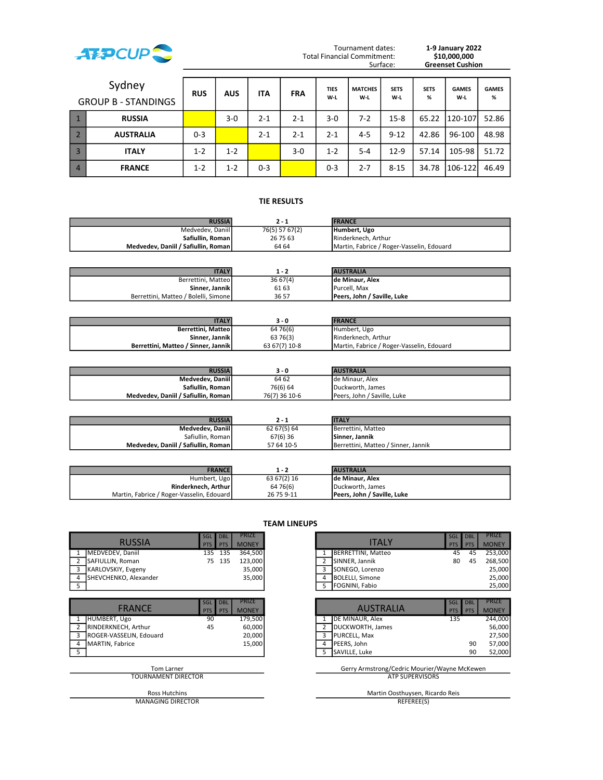

Tournament dates: Total Financial Commitment:<br>Surface:

1-9 January 2022<br>\$10,000,000<br>Greenset Cushion

|                | Sydney<br><b>GROUP B - STANDINGS</b> | <b>RUS</b> | <b>AUS</b> | <b>ITA</b> | <b>FRA</b> | <b>TIES</b><br>W-L | <b>MATCHES</b><br>W-L | <b>SETS</b><br>W-L | <b>SETS</b><br>% | <b>GAMES</b><br>W-L | <b>GAMES</b><br>% |
|----------------|--------------------------------------|------------|------------|------------|------------|--------------------|-----------------------|--------------------|------------------|---------------------|-------------------|
|                | <b>RUSSIA</b>                        |            | $3-0$      | $2 - 1$    | $2 - 1$    | 3-0                | 7-2                   | $15 - 8$           | 65.22            | 1120-107            | 52.86             |
|                | <b>AUSTRALIA</b>                     | $0 - 3$    |            | $2 - 1$    | $2 - 1$    | $2 - 1$            | $4 - 5$               | $9 - 12$           | 42.86            | 96-100              | 48.98             |
|                | <b>ITALY</b>                         | $1 - 2$    | $1 - 2$    |            | $3 - 0$    | $1 - 2$            | $5 - 4$               | $12-9$             | 57.14            | 105-98              | 51.72             |
| $\overline{4}$ | <b>FRANCE</b>                        | $1 - 2$    | $1 - 2$    | $0 - 3$    |            | $0 - 3$            | $2 - 7$               | $8 - 15$           | 34.78            | 106-122             | 46.49             |

### **TIE RESULTS**

| <b>RUSSIA</b>                         | 7 - 1          | <b>FRANCE</b>                             |
|---------------------------------------|----------------|-------------------------------------------|
| Medvedev, Daniil                      | 76(5) 57 67(2) | Humbert. Ugo                              |
| Safiullin, Roman                      | 26 75 63       | Rinderknech, Arthur                       |
| Medvedev. Daniil / Safiullin. Roman l | 64 64          | Martin, Fabrice / Roger-Vasselin, Edouard |

| <b>TALY</b>                          |         | <b>AUSTRALIA</b>            |
|--------------------------------------|---------|-----------------------------|
| Berrettini, Matteo                   | 3667(4) | Ide Minaur. Alex            |
| Sinner, Jannik                       | 61 63   | Purcell. Max                |
| Berrettini, Matteo / Bolelli, Simone | 36 57   | Peers, John / Saville, Luke |

| <b>ITALY</b>                        | 3 - 0         | <b>IFRANCE</b>                            |  |
|-------------------------------------|---------------|-------------------------------------------|--|
| Berrettini, Matteol                 | 64 76(6)      | Humbert, Ugo                              |  |
| Sinner, Jannik                      | 63 76(3)      | Rinderknech, Arthur                       |  |
| Berrettini, Matteo / Sinner, Jannik | 63 67(7) 10-8 | Martin, Fabrice / Roger-Vasselin, Edouard |  |

| <b>RUSSIA</b>                         | 3 - 0         | <b>AUSTRALIA</b>            |
|---------------------------------------|---------------|-----------------------------|
| Medvedev, Daniil                      | 64 62         | Ide Minaur. Alex            |
| Safiullin, Roman                      | 76(6) 64      | Duckworth. James            |
| Medvedev. Daniil / Safiullin. Roman l | 76(7) 36 10-6 | Peers. John / Saville. Luke |

| <b>RUSSIA</b>                       |             | <b>ITALY</b>                        |
|-------------------------------------|-------------|-------------------------------------|
| Medvedev, Daniil                    | 62 67(5) 64 | IBerrettini. Matteo                 |
| Safiullin, Roman                    | 67(6) 36    | <b>Sinner, Jannik</b>               |
| Medvedev, Daniil / Safiullin, Roman | 57 64 10-5  | Berrettini, Matteo / Sinner, Jannik |

| <b>FRANCE</b>                             |             | <b>AUSTRALIA</b>            |
|-------------------------------------------|-------------|-----------------------------|
| Humbert, Ugo                              | 63 67(2) 16 | Ide Minaur. Alex            |
| Rinderknech, Arthur                       | 64 76(6)    | Duckworth, James            |
| Martin, Fabrice / Roger-Vasselin, Edouard | 26 75 9-11  | Peers, John / Saville, Luke |

|                                       |                                                      |                              | .                                                                    |                                               |
|---------------------------------------|------------------------------------------------------|------------------------------|----------------------------------------------------------------------|-----------------------------------------------|
| <b>RUSSIA</b>                         | <b>SGL</b><br><b>DBL</b><br><b>PTS</b><br>PTS        | <b>PRIZE</b><br><b>MONEY</b> | <b>ITALY</b>                                                         | <b>DBL</b><br>SGL<br><b>PTS</b><br><b>PTS</b> |
| MEDVEDEV, Daniil                      | 135<br>135                                           | 364,500                      | <b>BERRETTINI, Matteo</b>                                            | 45                                            |
| SAFIULLIN, Roman<br>2                 | 135<br>75                                            | 123,000                      | SINNER, Jannik<br>2                                                  | 80                                            |
| KARLOVSKIY, Evgeny<br>3               |                                                      | 35,000                       | 3<br>SONEGO, Lorenzo                                                 |                                               |
| SHEVCHENKO, Alexander<br>4            |                                                      | 35,000                       | <b>BOLELLI, Simone</b><br>4                                          |                                               |
| - 5                                   |                                                      |                              | FOGNINI, Fabio<br>5.                                                 |                                               |
| <b>FRANCE</b>                         | <b>SGL</b><br><b>DBL</b><br><b>PTS</b><br><b>PTS</b> | <b>PRIZE</b><br><b>MONEY</b> | <b>AUSTRALIA</b>                                                     | <b>DBL</b><br>SGL<br><b>PTS</b><br><b>PTS</b> |
| HUMBERT, Ugo                          | 90                                                   | 179,500                      | DE MINAUR, Alex                                                      | 135                                           |
| RINDERKNECH, Arthur<br>$\overline{2}$ | 45                                                   | 60,000                       | DUCKWORTH, James<br>$\overline{2}$                                   |                                               |
| ROGER-VASSELIN, Edouard<br>3          |                                                      | 20,000                       | PURCELL, Max<br>3                                                    |                                               |
| MARTIN, Fabrice<br>4                  |                                                      | 15,000                       | PEERS, John<br>4                                                     |                                               |
| 5                                     |                                                      |                              | SAVILLE, Luke<br>5.                                                  |                                               |
| Tom Larner<br>TOURNAMENT DIRECTOR     |                                                      |                              | Gerry Armstrong/Cedric Mourier/Wayne McKew<br><b>ATP SUPERVISORS</b> |                                               |

MANAGING DIRECTOR REFEREE(S)

#### TEAM LINEUPS

|                       | SGL DBL    |            | <b>PRIZE</b> |  |                        | SGL I | <b>DBL</b> | <b>PRIZE</b> |
|-----------------------|------------|------------|--------------|--|------------------------|-------|------------|--------------|
| <b>RUSSIA</b>         | <b>PTS</b> | <b>PTS</b> | <b>MONEY</b> |  | ITALY                  | PTS I | <b>PTS</b> | <b>MONEY</b> |
| MEDVEDEV. Daniil      | 135        | 135        | 364.500      |  | BERRETTINI, Matteo     | 45    | 45         | 253.000      |
| SAFIULLIN, Roman      |            | 75 135     | 123.000      |  | SINNER, Jannik         | 80    | 45         | 268.500      |
| KARLOVSKIY, Evgeny    |            |            | 35,000       |  | SONEGO, Lorenzo        |       |            | 25.000       |
| SHEVCHENKO. Alexander |            |            | 35,000       |  | BOLELLI, Simone        |       |            | 25.000       |
|                       |            |            |              |  | <b>IFOGNINI, Fabio</b> |       |            | 25,000       |

|                         | SGL | DBL        | <b>PRIZE</b> |  |                          | SGL DBL |            | <b>PRIZE</b> |
|-------------------------|-----|------------|--------------|--|--------------------------|---------|------------|--------------|
| <b>FRANCE</b>           | PTS | <b>PTS</b> | <b>MONEY</b> |  | <b>AUSTRALIA</b>         | PTS I   | <b>PTS</b> | <b>MONEY</b> |
| HUMBERT, Ugo            | 90  |            | 179.500      |  | <b>IDE MINAUR, Alex</b>  | 135     |            | 244,000      |
| RINDERKNECH, Arthur     | 45  |            | 60,000       |  | DUCKWORTH, James         |         |            | 56,000       |
| ROGER-VASSELIN, Edouard |     |            | 20,000       |  | <b>PURCELL, Max</b>      |         |            | 27,500       |
| <b>MARTIN, Fabrice</b>  |     |            | 15,000       |  | <b>IPEERS. John</b>      |         | 90         | 57,000       |
|                         |     |            |              |  | 5 <b>I</b> SAVILLE. Luke |         | 90         | 52,000       |
|                         |     |            |              |  |                          |         |            |              |

# Tom Larner Gerry Armstrong/Cedric Mourier/Wayne McKewen

Ross Hutchins Martin Oosthuysen, Ricardo Reis Martin Oosthuysen, Ricardo Reis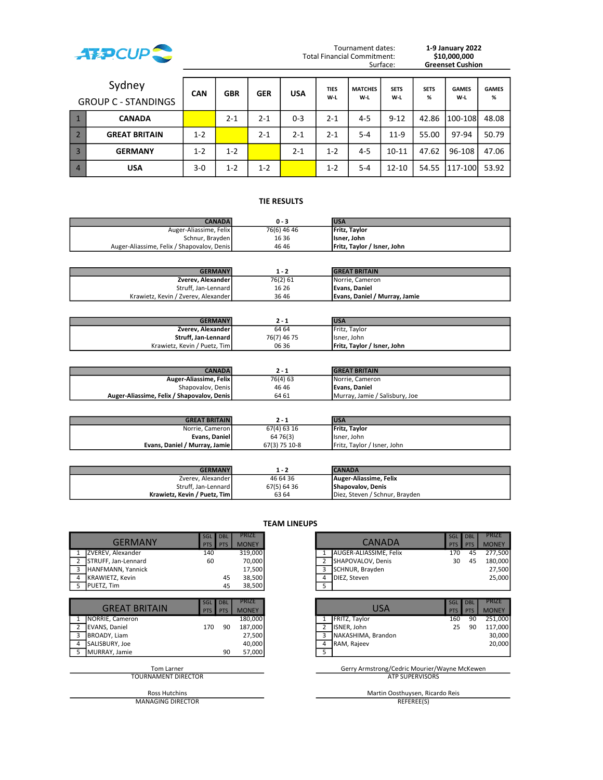

Tournament dates: Total Financial Commitment:<br>Surface:

1-9 January 2022<br>\$10,000,000<br>Greenset Cushion

|                | Sydney<br><b>GROUP C - STANDINGS</b> | <b>CAN</b> | <b>GBR</b> | <b>GER</b> | <b>USA</b> | <b>TIES</b><br>W-L | <b>MATCHES</b><br>W-L | <b>SETS</b><br>W-L | <b>SETS</b><br>% | <b>GAMES</b><br>W-L | <b>GAMES</b><br>% |
|----------------|--------------------------------------|------------|------------|------------|------------|--------------------|-----------------------|--------------------|------------------|---------------------|-------------------|
|                | <b>CANADA</b>                        |            | $2 - 1$    | $2 - 1$    | $0 - 3$    | $2 - 1$            | $4 - 5$               | $9 - 12$           | 42.86            | $1100 - 108$        | 48.08             |
|                | <b>GREAT BRITAIN</b>                 | $1 - 2$    |            | $2 - 1$    | $2 - 1$    | $2 - 1$            | $5 - 4$               | $11-9$             | 55.00            | 97-94               | 50.79             |
| $\overline{3}$ | <b>GERMANY</b>                       | $1 - 2$    | $1 - 2$    |            | $2 - 1$    | $1 - 2$            | $4 - 5$               | $10 - 11$          | 47.62            | 96-108              | 47.06             |
| $\overline{4}$ | <b>USA</b>                           | $3-0$      | $1 - 2$    | $1 - 2$    |            | $1 - 2$            | $5 - 4$               | $12 - 10$          | 54.55            | 1117-100            | 53.92             |

#### **TIE RESULTS**

| <b>CANADA</b>                              | 0 - 3       | <b>IUSA</b>                         |
|--------------------------------------------|-------------|-------------------------------------|
| Auger-Aliassime, Felix                     | 76(6) 46 46 | <b>Fritz, Taylor</b>                |
| Schnur, Brayden                            | 16 36       | lisner. John                        |
| Auger-Aliassime, Felix / Shapovalov, Denis | 4646        | <b>IFritz. Taylor / Isner. John</b> |

| <b>GERMANY</b>                      | 1 - 2    | <b>GREAT BRITAIN</b>          |
|-------------------------------------|----------|-------------------------------|
| Zverev, Alexander                   | 76(2) 61 | Norrie, Cameron               |
| Struff. Jan-Lennard                 | 16 26    | <b>IEvans, Daniel</b>         |
| Krawietz, Kevin / Zverev, Alexander | 36 46    | Evans, Daniel / Murray, Jamie |

| <b>GERMANY</b>               |             | <b>USA</b>                  |
|------------------------------|-------------|-----------------------------|
| Zverev, Alexander            | 64 64       | <b>IFritz. Tavlor</b>       |
| Struff, Jan-Lennard          | 76(7) 46 75 | IIsner. John                |
| Krawietz. Kevin / Puetz. Tim | 06 36       | Fritz, Taylor / Isner, John |

| <b>CANADA</b>                              |          | <b>IGREAT BRITAIN</b>          |
|--------------------------------------------|----------|--------------------------------|
| Auger-Aliassime, Felix                     | 76(4) 63 | Norrie, Cameron                |
| Shapovalov, Denis                          | 46 46    | Evans. Daniel                  |
| Auger-Aliassime, Felix / Shapovalov, Denis | 64 61    | Murray, Jamie / Salisbury, Joe |

| <b>GREAT BRITAIN</b>           |               | <b>USA</b>                          |
|--------------------------------|---------------|-------------------------------------|
| Norrie, Cameron                | 67(4) 63 16   | <b>Fritz, Taylor</b>                |
| Evans, Daniel                  | 64 76 (3)     | Ilsner. John                        |
| Evans. Daniel / Murray. Jamiel | 67(3) 75 10-8 | <b>IFritz. Taylor / Isner. John</b> |

| <b>GERMANY</b>                |             | <b>CANADA</b>                  |
|-------------------------------|-------------|--------------------------------|
| Zverev, Alexander             | 46 64 36    | Auger-Aliassime, Felix         |
| Struff, Jan-Lennard           | 67(5) 64 36 | Shapovalov, Denis              |
| Krawietz. Kevin / Puetz. Timl | 63 64       | Diez. Steven / Schnur. Brayden |

| <b>GERMANY</b>              | <b>SGL</b><br><b>PTS</b> | <b>DBL</b><br><b>PTS</b> | <b>PRIZE</b><br><b>MONEY</b> |                | <b>CANADA</b>                              | <b>DBL</b><br>SGL<br><b>PTS</b><br><b>PTS</b> |
|-----------------------------|--------------------------|--------------------------|------------------------------|----------------|--------------------------------------------|-----------------------------------------------|
| ZVEREV, Alexander           | 140                      |                          | 319,000                      | $\mathbf{1}$   | AUGER-ALIASSIME, Felix                     | 45<br>170                                     |
| STRUFF, Jan-Lennard<br>2    | 60                       |                          | 70,000                       | 2              | SHAPOVALOV, Denis                          | 45<br>30                                      |
| HANFMANN, Yannick<br>3      |                          |                          | 17,500                       | 3              | SCHNUR, Brayden                            |                                               |
| <b>KRAWIETZ, Kevin</b><br>4 |                          | 45                       | 38,500                       | 4              | DIEZ, Steven                               |                                               |
| PUETZ, Tim<br>-5            |                          | 45                       | 38,500                       | 5              |                                            |                                               |
|                             |                          |                          |                              |                |                                            |                                               |
| <b>GREAT BRITAIN</b>        | <b>SGL</b><br>PTS I      | <b>DBL</b><br>PTS        | <b>PRIZE</b><br><b>MONEY</b> |                | <b>USA</b>                                 | <b>DBL</b><br>SGL<br><b>PTS</b><br><b>PTS</b> |
| NORRIE, Cameron             |                          |                          | 180,000                      |                | FRITZ, Taylor                              | 90<br>160                                     |
| <b>EVANS, Daniel</b>        | 170                      | 90                       | 187,000                      | $\overline{2}$ | ISNER, John                                | 90<br>25                                      |
| BROADY, Liam<br>3           |                          |                          | 27,500                       | 3              | NAKASHIMA, Brandon                         |                                               |
| SALISBURY, Joe<br>4         |                          |                          | 40,000                       | 4              | RAM, Rajeev                                |                                               |
| MURRAY, Jamie               |                          | 90                       | 57,000                       | 5.             |                                            |                                               |
| Tom Larner                  |                          |                          |                              |                | Gerry Armstrong/Cedric Mourier/Wayne McKew |                                               |
| <b>TOURNAMENT DIRECTOR</b>  |                          |                          |                              |                | <b>ATP SUPERVISORS</b>                     |                                               |

#### TEAM LINEUPS

|                        | <b>SGL</b>        | <b>DBL</b>               | <b>PRIZE</b>          |                |                        | <b>SGL</b>               | <b>DBL</b>               | <b>PRIZE</b>                 |
|------------------------|-------------------|--------------------------|-----------------------|----------------|------------------------|--------------------------|--------------------------|------------------------------|
| <b>GERMANY</b>         | <b>PTS</b>        | <b>PTS</b>               | <b>MONEY</b>          |                | <b>CANADA</b>          | <b>PTS</b>               | <b>PTS</b>               | <b>MONEY</b>                 |
| ZVEREV, Alexander      | 140               |                          | 319,000               |                | AUGER-ALIASSIME, Felix | 170                      | 45                       | 277,500                      |
| STRUFF, Jan-Lennard    | 60                |                          | 70,000                | 2              | SHAPOVALOV, Denis      | 30                       | 45                       | 180,000                      |
| HANFMANN, Yannick      |                   |                          | 17,500                | 3              | SCHNUR, Brayden        |                          |                          | 27,500                       |
| KRAWIETZ, Kevin        |                   | 45                       | 38,500                | 4              | DIEZ, Steven           |                          |                          | 25,000                       |
| PUETZ, Tim             |                   | 45                       | 38,500                | 5              |                        |                          |                          |                              |
|                        |                   |                          |                       |                |                        |                          |                          |                              |
|                        |                   |                          |                       |                |                        |                          |                          |                              |
| <b>GREAT BRITAIN</b>   | <b>SGL</b><br>PTS | <b>DBL</b><br><b>PTS</b> | PRIZE<br><b>MONEY</b> |                | <b>USA</b>             | <b>SGL</b><br><b>PTS</b> | <b>DBL</b><br><b>PTS</b> | <b>PRIZE</b><br><b>MONEY</b> |
| <b>NORRIE, Cameron</b> |                   |                          | 180,000               |                | FRITZ, Taylor          | 160                      | 90                       | 251,000                      |
| EVANS, Daniel          | 170               | 90                       | 187,000               | $\overline{2}$ | ISNER, John            | 25                       | 90                       | 117,000                      |
| BROADY, Liam           |                   |                          | 27,500                | 3              | NAKASHIMA, Brandon     |                          |                          | 30,000                       |
| SALISBURY, Joe         |                   |                          | 40,000                | 4              | RAM, Rajeev            |                          |                          | 20,000                       |

## Tom Larner Gerry Armstrong/Cedric Mourier/Wayne McKewen

Ross Hutchins Martin Oosthuysen, Ricardo Reis Martin Oosthuysen, Ricardo Reis MANAGING DIRECTOR REFEREE(S)